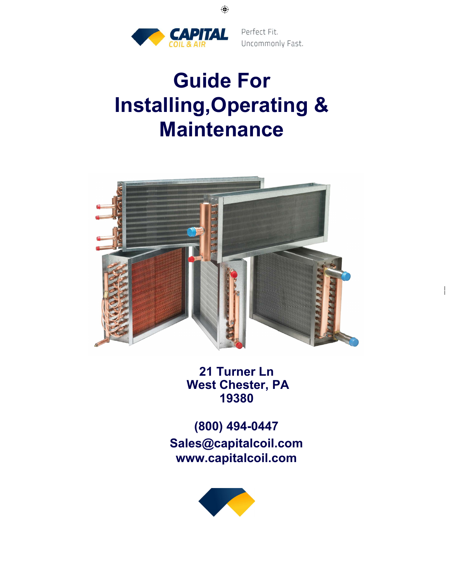

 $\overline{1}$ 

# Guide For **Installing,Operating & Maintenance**

 $\bigoplus$ 



**21 Turner Ln** West Chester, PA 19380

(800) 494-0447 **Sales@capitalcoil.com** www.capitalcoil.com

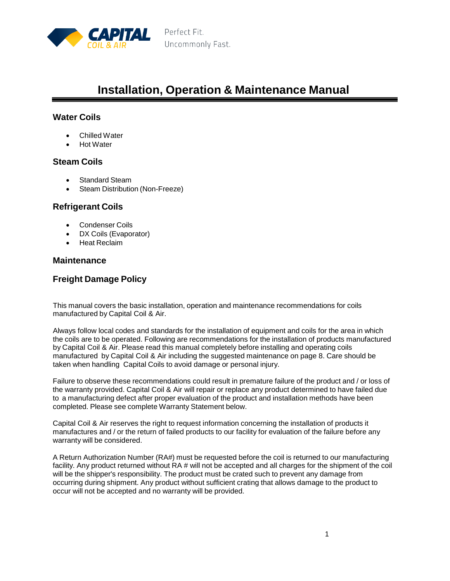

# **Installation, Operation & Maintenance Manual**

### **Water Coils**

- Chilled Water
- Hot Water

#### **Steam Coils**

- Standard Steam
- Steam Distribution (Non-Freeze)

#### **Refrigerant Coils**

- Condenser Coils
- DX Coils (Evaporator)
- Heat Reclaim

#### **Maintenance**

### **Freight Damage Policy**

This manual covers the basic installation, operation and maintenance recommendations for coils manufactured by Capital Coil & Air.

Always follow local codes and standards for the installation of equipment and coils for the area in which the coils are to be operated. Following are recommendations for the installation of products manufactured by Capital Coil & Air. Please read this manual completely before installing and operating coils manufactured by Capital Coil & Air including the suggested maintenance on page 8. Care should be taken when handling Capital Coils to avoid damage or personal injury.

Failure to observe these recommendations could result in premature failure of the product and / or loss of the warranty provided. Capital Coil & Air will repair or replace any product determined to have failed due to a manufacturing defect after proper evaluation of the product and installation methods have been completed. Please see complete Warranty Statement below.

Capital Coil & Air reserves the right to request information concerning the installation of products it manufactures and / or the return of failed products to our facility for evaluation of the failure before any warranty will be considered.

A Return Authorization Number (RA#) must be requested before the coil is returned to our manufacturing facility. Any product returned without RA # will not be accepted and all charges for the shipment of the coil will be the shipper's responsibility. The product must be crated such to prevent any damage from occurring during shipment. Any product without sufficient crating that allows damage to the product to occur will not be accepted and no warranty will be provided.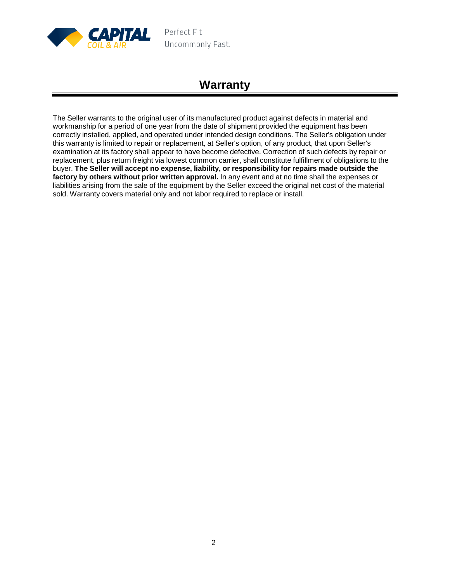

# **Warranty**

The Seller warrants to the original user of its manufactured product against defects in material and workmanship for a period of one year from the date of shipment provided the equipment has been correctly installed, applied, and operated under intended design conditions. The Seller's obligation under this warranty is limited to repair or replacement, at Seller's option, of any product, that upon Seller's examination at its factory shall appear to have become defective. Correction of such defects by repair or replacement, plus return freight via lowest common carrier, shall constitute fulfillment of obligations to the buyer. **The Seller will accept no expense, liability, or responsibility for repairs made outside the factory by others without prior written approval.** In any event and at no time shall the expenses or liabilities arising from the sale of the equipment by the Seller exceed the original net cost of the material sold. Warranty covers material only and not labor required to replace or install.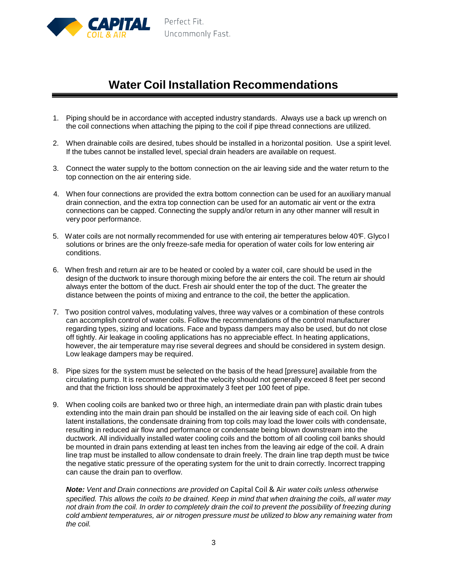

# **Water Coil Installation Recommendations**

- 1. Piping should be in accordance with accepted industry standards. Always use a back up wrench on the coil connections when attaching the piping to the coil if pipe thread connections are utilized.
- 2. When drainable coils are desired, tubes should be installed in a horizontal position. Use a spirit level. If the tubes cannot be installed level, special drain headers are available on request.
- 3. Connect the water supply to the bottom connection on the air leaving side and the water return to the top connection on the air entering side.
- 4. When four connections are provided the extra bottom connection can be used for an auxiliary manual drain connection, and the extra top connection can be used for an automatic air vent or the extra connections can be capped. Connecting the supply and/or return in any other manner will result in very poor performance.
- 5. Water coils are not normally recommended for use with entering air temperatures below 40 °F. Glyco l solutions or brines are the only freeze-safe media for operation of water coils for low entering air conditions.
- 6. When fresh and return air are to be heated or cooled by a water coil, care should be used in the design of the ductwork to insure thorough mixing before the air enters the coil. The return air should always enter the bottom of the duct. Fresh air should enter the top of the duct. The greater the distance between the points of mixing and entrance to the coil, the better the application.
- 7. Two position control valves, modulating valves, three way valves or a combination of these controls can accomplish control of water coils. Follow the recommendations of the control manufacturer regarding types, sizing and locations. Face and bypass dampers may also be used, but do not close off tightly. Air leakage in cooling applications has no appreciable effect. In heating applications, however, the air temperature may rise several degrees and should be considered in system design. Low leakage dampers may be required.
- 8. Pipe sizes for the system must be selected on the basis of the head [pressure] available from the circulating pump. It is recommended that the velocity should not generally exceed 8 feet per second and that the friction loss should be approximately 3 feet per 100 feet of pipe.
- 9. When cooling coils are banked two or three high, an intermediate drain pan with plastic drain tubes extending into the main drain pan should be installed on the air leaving side of each coil. On high latent installations, the condensate draining from top coils may load the lower coils with condensate, resulting in reduced air flow and performance or condensate being blown downstream into the ductwork. All individually installed water cooling coils and the bottom of all cooling coil banks should be mounted in drain pans extending at least ten inches from the leaving air edge of the coil. A drain line trap must be installed to allow condensate to drain freely. The drain line trap depth must be twice the negative static pressure of the operating system for the unit to drain correctly. Incorrect trapping can cause the drain pan to overflow.

*Note: Vent and Drain connections are provided on* Capital Coil & Air *water coils unless otherwise* specified. This allows the coils to be drained. Keep in mind that when draining the coils, all water may not drain from the coil. In order to completely drain the coil to prevent the possibility of freezing during *cold ambient temperatures, air or nitrogen pressure must be utilized to blow any remaining water from the coil.*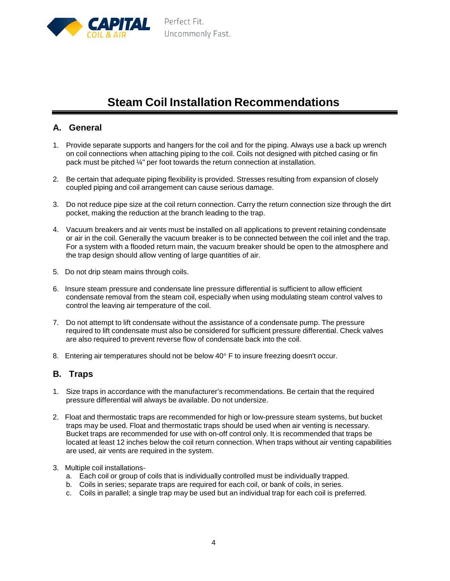

# **Steam Coil Installation Recommendations**

### **A. General**

- 1. Provide separate supports and hangers for the coil and for the piping. Always use a back up wrench on coil connections when attaching piping to the coil. Coils not designed with pitched casing or fin pack must be pitched ¼" per foot towards the return connection at installation.
- 2. Be certain that adequate piping flexibility is provided. Stresses resulting from expansion of closely coupled piping and coil arrangement can cause serious damage.
- 3. Do not reduce pipe size at the coil return connection. Carry the return connection size through the dirt pocket, making the reduction at the branch leading to the trap.
- 4. Vacuum breakers and air vents must be installed on all applications to prevent retaining condensate or air in the coil. Generally the vacuum breaker is to be connected between the coil inlet and the trap. For a system with a flooded return main, the vacuum breaker should be open to the atmosphere and the trap design should allow venting of large quantities of air.
- 5. Do not drip steam mains through coils.
- 6. Insure steam pressure and condensate line pressure differential is sufficient to allow efficient condensate removal from the steam coil, especially when using modulating steam control valves to control the leaving air temperature of the coil.
- 7. Do not attempt to lift condensate without the assistance of a condensate pump. The pressure required to lift condensate must also be considered for sufficient pressure differential. Check valves are also required to prevent reverse flow of condensate back into the coil.
- 8. Entering air temperatures should not be below  $40^{\circ}$  F to insure freezing doesn't occur.

#### **B. Traps**

- 1. Size traps in accordance with the manufacturer's recommendations. Be certain that the required pressure differential will always be available. Do not undersize.
- 2. Float and thermostatic traps are recommended for high or low-pressure steam systems, but bucket traps may be used. Float and thermostatic traps should be used when air venting is necessary. Bucket traps are recommended for use with on-off control only. It is recommended that traps be located at least 12 inches below the coil return connection. When traps without air venting capabilities are used, air vents are required in the system.
- 3. Multiple coil installations
	- a. Each coil or group of coils that is individually controlled must be individually trapped.
	- b. Coils in series; separate traps are required for each coil, or bank of coils, in series.
	- c. Coils in parallel; a single trap may be used but an individual trap for each coil is preferred.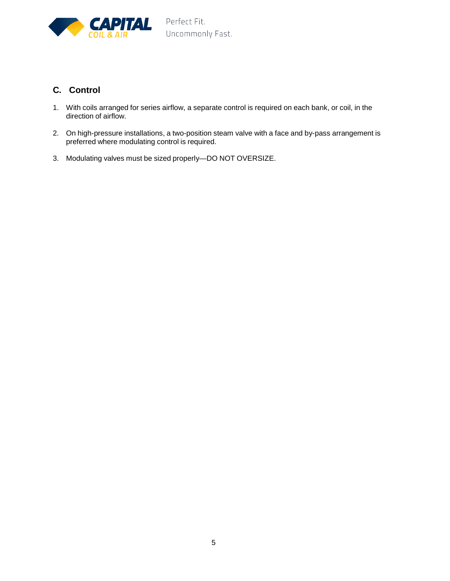

# **C. Control**

- 1. With coils arranged for series airflow, a separate control is required on each bank, or coil, in the direction of airflow.
- 2. On high-pressure installations, a two-position steam valve with a face and by-pass arrangement is preferred where modulating control is required.
- 3. Modulating valves must be sized properly—DO NOT OVERSIZE.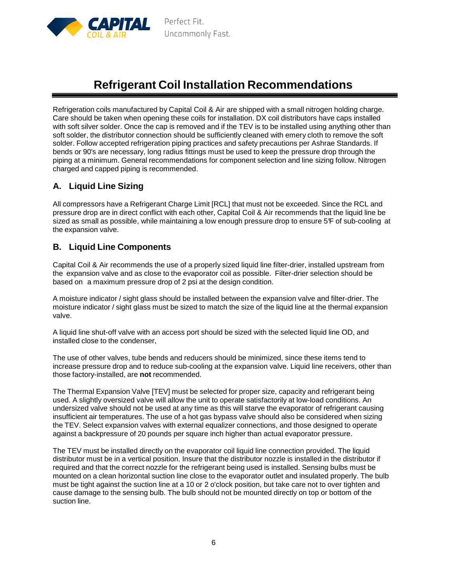

# **Refrigerant Coil Installation Recommendations**

Refrigeration coils manufactured by Capital Coil & Air are shipped with a small nitrogen holding charge. Care should be taken when opening these coils for installation. DX coil distributors have caps installed with soft silver solder. Once the cap is removed and if the TEV is to be installed using anything other than soft solder, the distributor connection should be sufficiently cleaned with emery cloth to remove the soft solder. Follow accepted refrigeration piping practices and safety precautions per Ashrae Standards. If bends or 90's are necessary, long radius fittings must be used to keep the pressure drop through the piping at a minimum. General recommendations for component selection and line sizing follow. Nitrogen charged and capped piping is recommended.

# **A. Liquid Line Sizing**

All compressors have a Refrigerant Charge Limit [RCL] that must not be exceeded. Since the RCL and pressure drop are in direct conflict with each other, Capital Coil & Air recommends that the liquid line be sized as small as possible, while maintaining a low enough pressure drop to ensure 5<sup> $F$ </sup> of sub-cooling at the expansion valve.

### **B. Liquid Line Components**

Capital Coil & Air recommends the use of a properly sized liquid line filter-drier, installed upstream from the expansion valve and as close to the evaporator coil as possible. Filter-drier selection should be based on a maximum pressure drop of 2 psi at the design condition.

A moisture indicator / sight glass should be installed between the expansion valve and filter-drier. The moisture indicator / sight glass must be sized to match the size of the liquid line at the thermal expansion valve.

A liquid line shut-off valve with an access port should be sized with the selected liquid line OD, and installed close to the condenser,

The use of other valves, tube bends and reducers should be minimized, since these items tend to increase pressure drop and to reduce sub-cooling at the expansion valve. Liquid line receivers, other than those factory-installed, are **not** recommended.

The Thermal Expansion Valve [TEV] must be selected for proper size, capacity and refrigerant being used. A slightly oversized valve will allow the unit to operate satisfactorily at low-load conditions. An undersized valve should not be used at any time as this will starve the evaporator of refrigerant causing insufficient air temperatures. The use of a hot gas bypass valve should also be considered when sizing the TEV. Select expansion valves with external equalizer connections, and those designed to operate against a backpressure of 20 pounds per square inch higher than actual evaporator pressure.

The TEV must be installed directly on the evaporator coil liquid line connection provided. The liquid distributor must be in a vertical position. Insure that the distributor nozzle is installed in the distributor if required and that the correct nozzle for the refrigerant being used is installed. Sensing bulbs must be mounted on a clean horizontal suction line close to the evaporator outlet and insulated properly. The bulb must be tight against the suction line at a 10 or 2 o'clock position, but take care not to over tighten and cause damage to the sensing bulb. The bulb should not be mounted directly on top or bottom of the suction line.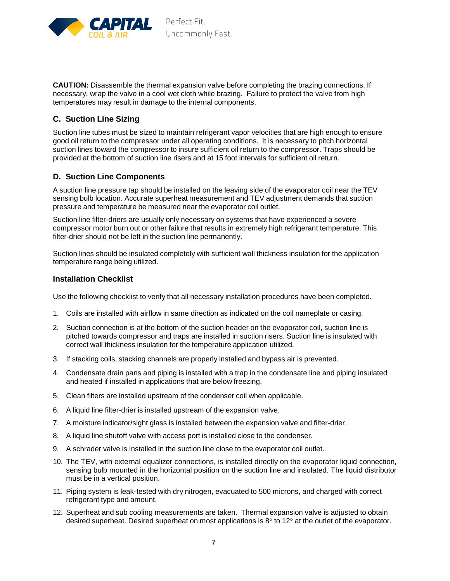

**CAUTION:** Disassemble the thermal expansion valve before completing the brazing connections. If necessary, wrap the valve in a cool wet cloth while brazing. Failure to protect the valve from high temperatures may result in damage to the internal components.

#### **C. Suction Line Sizing**

Suction line tubes must be sized to maintain refrigerant vapor velocities that are high enough to ensure good oil return to the compressor under all operating conditions. It is necessary to pitch horizontal suction lines toward the compressor to insure sufficient oil return to the compressor. Traps should be provided at the bottom of suction line risers and at 15 foot intervals for sufficient oil return.

#### **D. Suction Line Components**

A suction line pressure tap should be installed on the leaving side of the evaporator coil near the TEV sensing bulb location. Accurate superheat measurement and TEV adjustment demands that suction pressure and temperature be measured near the evaporator coil outlet.

Suction line filter-driers are usually only necessary on systems that have experienced a severe compressor motor burn out or other failure that results in extremely high refrigerant temperature. This filter-drier should not be left in the suction line permanently.

Suction lines should be insulated completely with sufficient wall thickness insulation for the application temperature range being utilized.

#### **Installation Checklist**

Use the following checklist to verify that all necessary installation procedures have been completed.

- 1. Coils are installed with airflow in same direction as indicated on the coil nameplate or casing.
- 2. Suction connection is at the bottom of the suction header on the evaporator coil, suction line is pitched towards compressor and traps are installed in suction risers. Suction line is insulated with correct wall thickness insulation for the temperature application utilized.
- 3. If stacking coils, stacking channels are properly installed and bypass air is prevented.
- 4. Condensate drain pans and piping is installed with a trap in the condensate line and piping insulated and heated if installed in applications that are below freezing.
- 5. Clean filters are installed upstream of the condenser coil when applicable.
- 6. A liquid line filter-drier is installed upstream of the expansion valve.
- 7. A moisture indicator/sight glass is installed between the expansion valve and filter-drier.
- 8. A liquid line shutoff valve with access port is installed close to the condenser.
- 9. A schrader valve is installed in the suction line close to the evaporator coil outlet.
- 10. The TEV, with external equalizer connections, is installed directly on the evaporator liquid connection, sensing bulb mounted in the horizontal position on the suction line and insulated. The liquid distributor must be in a vertical position.
- 11. Piping system is leak-tested with dry nitrogen, evacuated to 500 microns, and charged with correct refrigerant type and amount.
- 12. Superheat and sub cooling measurements are taken. Thermal expansion valve is adjusted to obtain desired superheat. Desired superheat on most applications is  $8^\circ$  to 12 $^\circ$  at the outlet of the evaporator.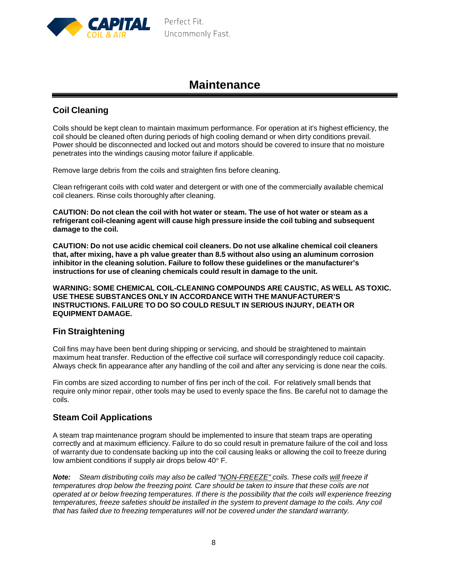

# **Maintenance**

# **Coil Cleaning**

Coils should be kept clean to maintain maximum performance. For operation at it's highest efficiency, the coil should be cleaned often during periods of high cooling demand or when dirty conditions prevail. Power should be disconnected and locked out and motors should be covered to insure that no moisture penetrates into the windings causing motor failure if applicable.

Remove large debris from the coils and straighten fins before cleaning.

Clean refrigerant coils with cold water and detergent or with one of the commercially available chemical coil cleaners. Rinse coils thoroughly after cleaning.

CAUTION: Do not clean the coil with hot water or steam. The use of hot water or steam as a **refrigerant coil-cleaning agent will cause high pressure inside the coil tubing and subsequent damage to the coil.**

**CAUTION: Do not use acidic chemical coil cleaners. Do not use alkaline chemical coil cleaners that, after mixing, have a ph value greater than 8.5 without also using an aluminum corrosion inhibitor in the cleaning solution. Failure to follow these guidelines or the manufacturer's instructions for use of cleaning chemicals could result in damage to the unit.**

**WARNING: SOME CHEMICAL COIL-CLEANING COMPOUNDS ARE CAUSTIC, AS WELL AS TOXIC. USE THESE SUBSTANCES ONLY IN ACCORDANCE WITH THE MANUFACTURER'S INSTRUCTIONS. FAILURE TO DO SO COULD RESULT IN SERIOUS INJURY, DEATH OR EQUIPMENT DAMAGE.**

### **Fin Straightening**

Coil fins may have been bent during shipping or servicing, and should be straightened to maintain maximum heat transfer. Reduction of the effective coil surface will correspondingly reduce coil capacity. Always check fin appearance after any handling of the coil and after any servicing is done near the coils.

Fin combs are sized according to number of fins per inch of the coil. For relatively small bends that require only minor repair, other tools may be used to evenly space the fins. Be careful not to damage the coils.

### **Steam Coil Applications**

A steam trap maintenance program should be implemented to insure that steam traps are operating correctly and at maximum efficiency. Failure to do so could result in premature failure of the coil and loss of warranty due to condensate backing up into the coil causing leaks or allowing the coil to freeze during low ambient conditions if supply air drops below 40° F.

*Note: Steam distributing coils may also be called "NON-FREEZE" coils. These coils will freeze if temperatures drop below the freezing point. Care should be taken to insure that these coils are not* operated at or below freezing temperatures. If there is the possibility that the coils will experience freezing *temperatures, freeze safeties should be installed in the system to prevent damage to the coils. Any coil that has failed due to freezing temperatures will not be covered under the standard warranty.*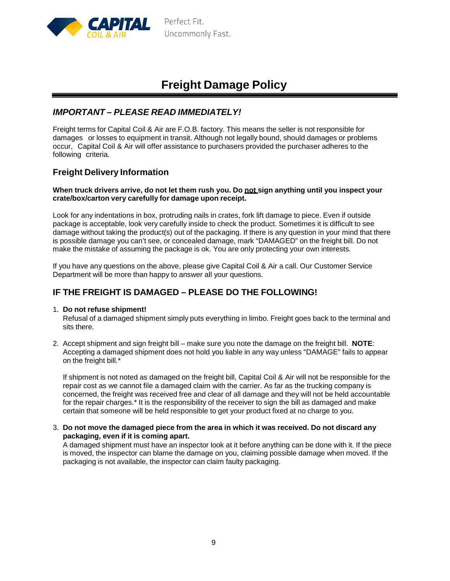

# **Freight Damage Policy**

# *IMPORTANT – PLEASE READ IMMEDIATELY!*

Freight terms for Capital Coil & Air are F.O.B. factory. This means the seller is not responsible for damages or losses to equipment in transit. Although not legally bound, should damages or problems occur, Capital Coil & Air will offer assistance to purchasers provided the purchaser adheres to the following criteria.

### **Freight Delivery Information**

#### **When truck drivers arrive, do not let them rush you. Do not sign anything until you inspect your crate/box/carton very carefully for damage upon receipt.**

Look for any indentations in box, protruding nails in crates, fork lift damage to piece. Even if outside package is acceptable, look very carefully inside to check the product. Sometimes it is difficult to see damage without taking the product(s) out of the packaging. If there is any question in your mind that there is possible damage you can't see, or concealed damage, mark "DAMAGED" on the freight bill. Do not make the mistake of assuming the package is ok. You are only protecting your own interests.

If you have any questions on the above, please give Capital Coil & Air a call. Our Customer Service Department will be more than happy to answer all your questions.

## **IF THE FREIGHT IS DAMAGED – PLEASE DO THE FOLLOWING!**

#### 1. **Do not refuse shipment!**

Refusal of a damaged shipment simply puts everything in limbo. Freight goes back to the terminal and sits there.

2. Accept shipment and sign freight bill – make sure you note the damage on the freight bill. **NOTE**: Accepting a damaged shipment does not hold you liable in any way unless "DAMAGE" fails to appear on the freight bill.\*

If shipment is not noted as damaged on the freight bill, Capital Coil & Air will not be responsible for the repair cost as we cannot file a damaged claim with the carrier. As far as the trucking company is concerned, the freight was received free and clear of all damage and they will not be held accountable for the repair charges.\* It is the responsibility of the receiver to sign the bill as damaged and make certain that someone will be held responsible to get your product fixed at no charge to you.

3. **Do not move the damaged piece from the area in which it was received. Do not discard any packaging, even if it is coming apart.**

A damaged shipment must have an inspector look at it before anything can be done with it. If the piece is moved, the inspector can blame the damage on you, claiming possible damage when moved. If the packaging is not available, the inspector can claim faulty packaging.